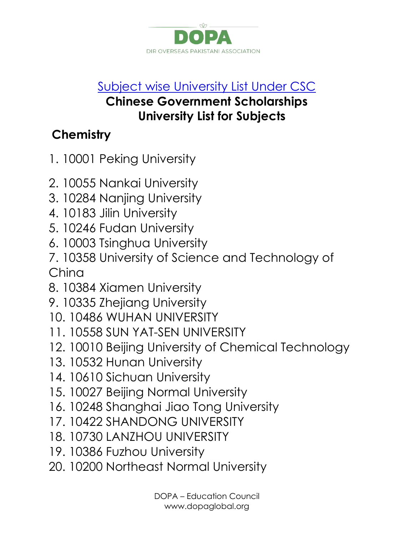

#### [Subject wise University List Under CSC](https://www.facebook.com/notes/chinese-government-scholarship/subject-wise-university-list-under-csc/974694565885337)

#### **Chinese Government Scholarships University List for Subjects**

## **Chemistry**

- 1. 10001 Peking University
- 2. 10055 Nankai University
- 3. 10284 Nanjing University
- 4. 10183 Jilin University
- 5. 10246 Fudan University
- 6. 10003 Tsinghua University
- 7. 10358 University of Science and Technology of China
- 8. 10384 Xiamen University
- 9. 10335 Zhejiang University
- 10. 10486 WUHAN UNIVERSITY
- 11. 10558 SUN YAT-SEN UNIVERSITY
- 12. 10010 Beijing University of Chemical Technology
- 13. 10532 Hunan University
- 14. 10610 Sichuan University
- 15. 10027 Beijing Normal University
- 16. 10248 Shanghai Jiao Tong University
- 17. 10422 SHANDONG UNIVERSITY
- 18. 10730 LANZHOU UNIVERSITY
- 19. 10386 Fuzhou University
- 20. 10200 Northeast Normal University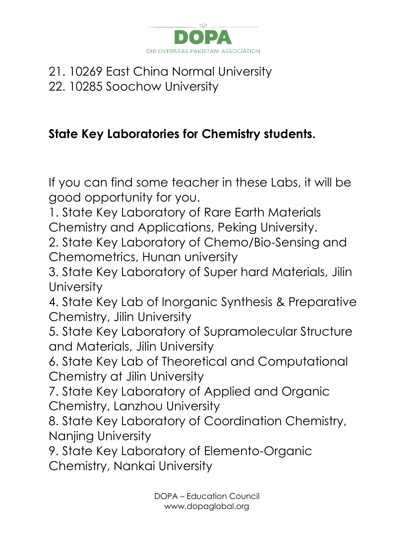

#### 21. 10269 East China Normal University 22. 10285 Soochow University

### **State Key Laboratories for Chemistry students.**

If you can find some teacher in these Labs, it will be good opportunity for you.

1. State Key Laboratory of Rare Earth Materials Chemistry and Applications, Peking University.

2. State Key Laboratory of Chemo/Bio-Sensing and Chemometrics, Hunan university

3. State Key Laboratory of Super hard Materials, Jilin **University** 

4. State Key Lab of Inorganic Synthesis & Preparative Chemistry, Jilin University

5. State Key Laboratory of Supramolecular Structure and Materials, Jilin University

6. State Key Lab of Theoretical and Computational Chemistry at Jilin University

7. State Key Laboratory of Applied and Organic Chemistry, Lanzhou University

8. State Key Laboratory of Coordination Chemistry, Nanjing University

9. State Key Laboratory of Elemento-Organic Chemistry, Nankai University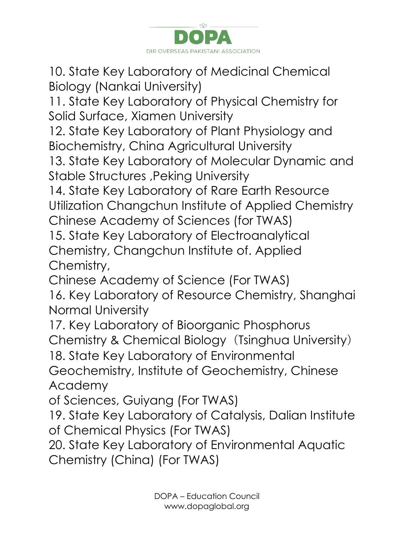

10. State Key Laboratory of Medicinal Chemical Biology (Nankai University)

11. State Key Laboratory of Physical Chemistry for Solid Surface, Xiamen University

12. State Key Laboratory of Plant Physiology and Biochemistry, China Agricultural University

13. State Key Laboratory of Molecular Dynamic and Stable Structures ,Peking University

14. State Key Laboratory of Rare Earth Resource Utilization Changchun Institute of Applied Chemistry Chinese Academy of Sciences (for TWAS)

15. State Key Laboratory of Electroanalytical Chemistry, Changchun Institute of. Applied Chemistry,

Chinese Academy of Science (For TWAS)

16. Key Laboratory of Resource Chemistry, Shanghai Normal University

17. Key Laboratory of Bioorganic Phosphorus Chemistry & Chemical Biology (Tsinghua University)

18. State Key Laboratory of Environmental

Geochemistry, Institute of Geochemistry, Chinese Academy

of Sciences, Guiyang (For TWAS)

19. State Key Laboratory of Catalysis, Dalian Institute of Chemical Physics (For TWAS)

20. State Key Laboratory of Environmental Aquatic Chemistry (China) (For TWAS)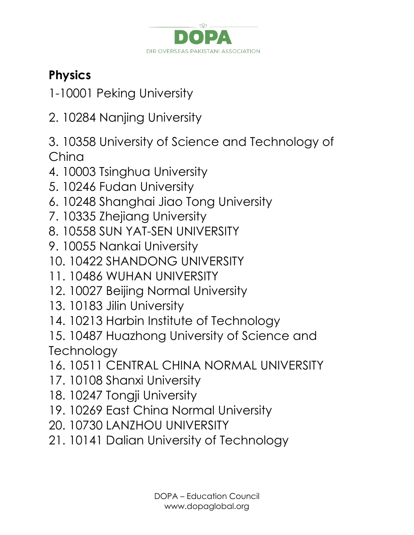

# **Physics**

- 1-10001 Peking University
- 2. 10284 Nanjing University
- 3. 10358 University of Science and Technology of China
- 4. 10003 Tsinghua University
- 5. 10246 Fudan University
- 6. 10248 Shanghai Jiao Tong University
- 7. 10335 Zhejiang University
- 8. 10558 SUN YAT-SEN UNIVERSITY
- 9. 10055 Nankai University
- 10. 10422 SHANDONG UNIVERSITY
- 11. 10486 WUHAN UNIVERSITY
- 12. 10027 Beijing Normal University
- 13. 10183 Jilin University
- 14. 10213 Harbin Institute of Technology
- 15. 10487 Huazhong University of Science and **Technology**
- 16. 10511 CENTRAL CHINA NORMAL UNIVERSITY
- 17. 10108 Shanxi University
- 18. 10247 Tongji University
- 19. 10269 East China Normal University
- 20. 10730 LANZHOU UNIVERSITY
- 21. 10141 Dalian University of Technology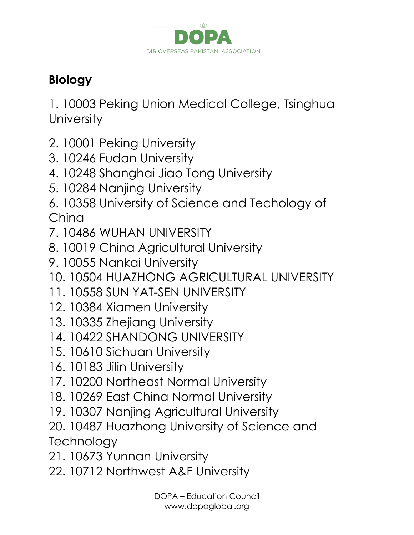

## **Biology**

1. 10003 Peking Union Medical College, Tsinghua **University** 

- 2. 10001 Peking University
- 3. 10246 Fudan University
- 4. 10248 Shanghai Jiao Tong University
- 5. 10284 Nanjing University
- 6. 10358 University of Science and Techology of China
- 7. 10486 WUHAN UNIVERSITY
- 8. 10019 China Agricultural University
- 9. 10055 Nankai University
- 10. 10504 HUAZHONG AGRICULTURAL UNIVERSITY
- 11. 10558 SUN YAT-SEN UNIVERSITY
- 12. 10384 Xiamen University
- 13. 10335 Zhejiang University
- 14. 10422 SHANDONG UNIVERSITY
- 15. 10610 Sichuan University
- 16. 10183 Jilin University
- 17. 10200 Northeast Normal University
- 18. 10269 East China Normal University
- 19. 10307 Nanjing Agricultural University
- 20. 10487 Huazhong University of Science and **Technology**
- 21. 10673 Yunnan University
- 22. 10712 Northwest A&F University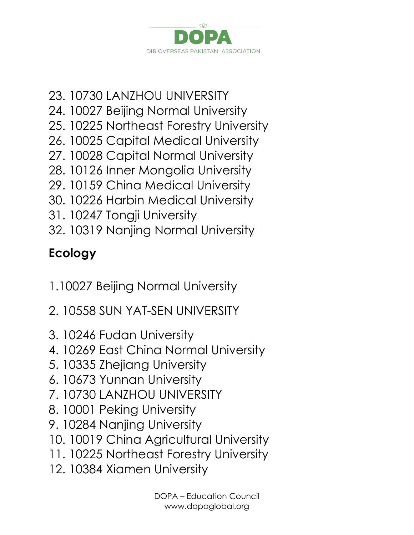

- 23. 10730 LANZHOU UNIVERSITY
- 24. 10027 Beijing Normal University
- 25. 10225 Northeast Forestry University
- 26. 10025 Capital Medical University
- 27. 10028 Capital Normal University
- 28. 10126 Inner Mongolia University
- 29. 10159 China Medical University
- 30. 10226 Harbin Medical University
- 31. 10247 Tongji University
- 32. 10319 Nanjing Normal University

# **Ecology**

- 1.10027 Beijing Normal University
- 2. 10558 SUN YAT-SEN UNIVERSITY
- 3. 10246 Fudan University
- 4. 10269 East China Normal University
- 5. 10335 Zhejiang University
- 6. 10673 Yunnan University
- 7. 10730 LANZHOU UNIVERSITY
- 8. 10001 Peking University
- 9. 10284 Nanjing University
- 10. 10019 China Agricultural University
- 11. 10225 Northeast Forestry University
- 12. 10384 Xiamen University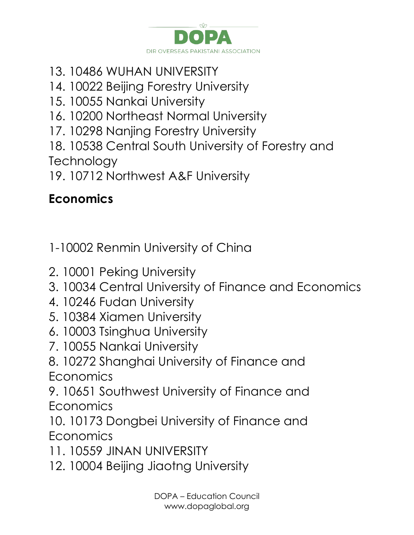

- 13. 10486 WUHAN UNIVERSITY
- 14. 10022 Beijing Forestry University
- 15. 10055 Nankai University
- 16. 10200 Northeast Normal University
- 17. 10298 Nanjing Forestry University
- 18. 10538 Central South University of Forestry and **Technology**
- 19. 10712 Northwest A&F University

# **Economics**

1-10002 Renmin University of China

- 2. 10001 Peking University
- 3. 10034 Central University of Finance and Economics
- 4. 10246 Fudan University
- 5. 10384 Xiamen University
- 6. 10003 Tsinghua University
- 7. 10055 Nankai University
- 8. 10272 Shanghai University of Finance and Economics
- 9. 10651 Southwest University of Finance and **Economics**

10. 10173 Dongbei University of Finance and **Economics** 

- 11. 10559 JINAN UNIVERSITY
- 12. 10004 Beijing Jiaotng University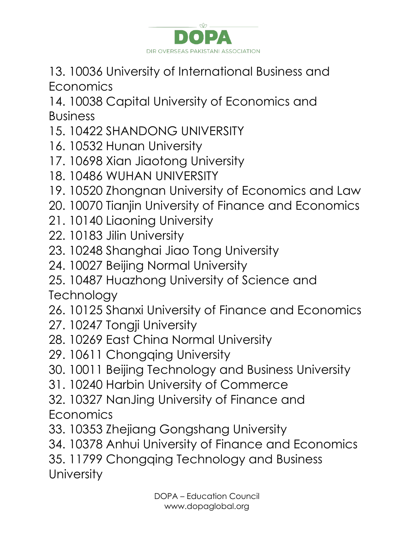

13. 10036 University of International Business and **Economics** 

14. 10038 Capital University of Economics and Business

- 15. 10422 SHANDONG UNIVERSITY
- 16. 10532 Hunan University
- 17. 10698 Xian Jiaotong University
- 18. 10486 WUHAN UNIVERSITY
- 19. 10520 Zhongnan University of Economics and Law
- 20. 10070 Tianjin University of Finance and Economics
- 21. 10140 Liaoning University
- 22. 10183 Jilin University
- 23. 10248 Shanghai Jiao Tong University
- 24. 10027 Beijing Normal University
- 25. 10487 Huazhong University of Science and

**Technology** 

- 26. 10125 Shanxi University of Finance and Economics
- 27. 10247 Tongji University
- 28. 10269 East China Normal University
- 29. 10611 Chongqing University
- 30. 10011 Beijing Technology and Business University
- 31. 10240 Harbin University of Commerce
- 32. 10327 NanJing University of Finance and Economics
- 33. 10353 Zhejiang Gongshang University
- 34. 10378 Anhui University of Finance and Economics
- 35. 11799 Chongqing Technology and Business **University**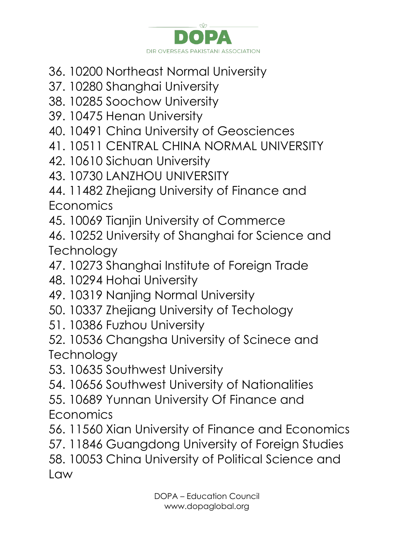

- 36. 10200 Northeast Normal University
- 37. 10280 Shanghai University
- 38. 10285 Soochow University
- 39. 10475 Henan University
- 40. 10491 China University of Geosciences
- 41. 10511 CENTRAL CHINA NORMAL UNIVERSITY
- 42. 10610 Sichuan University
- 43. 10730 LANZHOU UNIVERSITY
- 44. 11482 Zhejiang University of Finance and **Economics**
- 45. 10069 Tianjin University of Commerce
- 46. 10252 University of Shanghai for Science and **Technology**
- 47. 10273 Shanghai Institute of Foreign Trade
- 48. 10294 Hohai University
- 49. 10319 Nanjing Normal University
- 50. 10337 Zhejiang University of Techology
- 51. 10386 Fuzhou University
- 52. 10536 Changsha University of Scinece and **Technology**
- 53. 10635 Southwest University
- 54. 10656 Southwest University of Nationalities
- 55. 10689 Yunnan University Of Finance and Economics
- 56. 11560 Xian University of Finance and Economics
- 57. 11846 Guangdong University of Foreign Studies 58. 10053 China University of Political Science and Law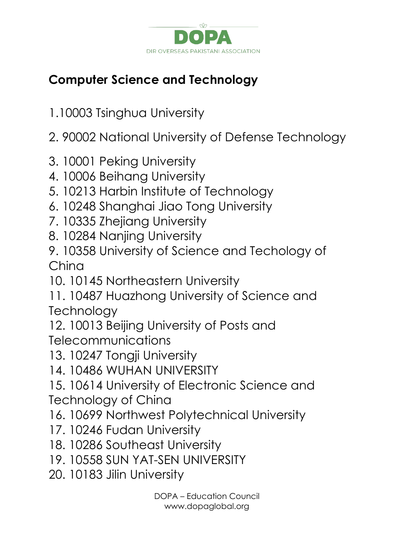

## **Computer Science and Technology**

- 1.10003 Tsinghua University
- 2. 90002 National University of Defense Technology
- 3. 10001 Peking University
- 4. 10006 Beihang University
- 5. 10213 Harbin Institute of Technology
- 6. 10248 Shanghai Jiao Tong University
- 7. 10335 Zhejiang University
- 8. 10284 Nanjing University
- 9. 10358 University of Science and Techology of China
- 10. 10145 Northeastern University
- 11. 10487 Huazhong University of Science and **Technology**
- 12. 10013 Beijing University of Posts and **Telecommunications**
- 13. 10247 Tongji University
- 14. 10486 WUHAN UNIVERSITY
- 15. 10614 University of Electronic Science and Technology of China
- 16. 10699 Northwest Polytechnical University
- 17. 10246 Fudan University
- 18. 10286 Southeast University
- 19. 10558 SUN YAT-SEN UNIVERSITY
- 20. 10183 Jilin University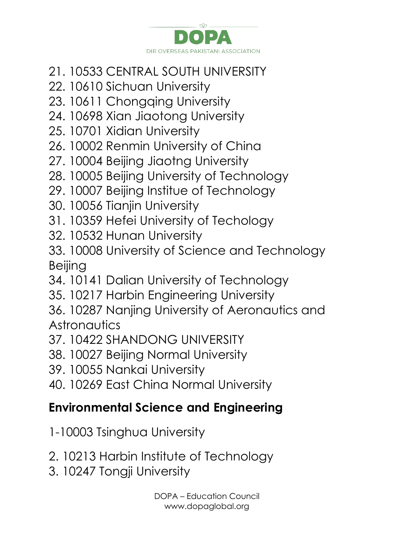

- 21. 10533 CENTRAL SOUTH UNIVERSITY
- 22. 10610 Sichuan University
- 23. 10611 Chongqing University
- 24. 10698 Xian Jiaotong University
- 25. 10701 Xidian University
- 26. 10002 Renmin University of China
- 27. 10004 Beijing Jiaotng University
- 28. 10005 Beijing University of Technology
- 29. 10007 Beijing Institue of Technology
- 30. 10056 Tianjin University
- 31. 10359 Hefei University of Techology
- 32. 10532 Hunan University
- 33. 10008 University of Science and Technology Beijing
- 34. 10141 Dalian University of Technology
- 35. 10217 Harbin Engineering University
- 36. 10287 Nanjing University of Aeronautics and **Astronautics**
- 37. 10422 SHANDONG UNIVERSITY
- 38. 10027 Beijing Normal University
- 39. 10055 Nankai University
- 40. 10269 East China Normal University

### **Environmental Science and Engineering**

- 1-10003 Tsinghua University
- 2. 10213 Harbin Institute of Technology
- 3. 10247 Tongji University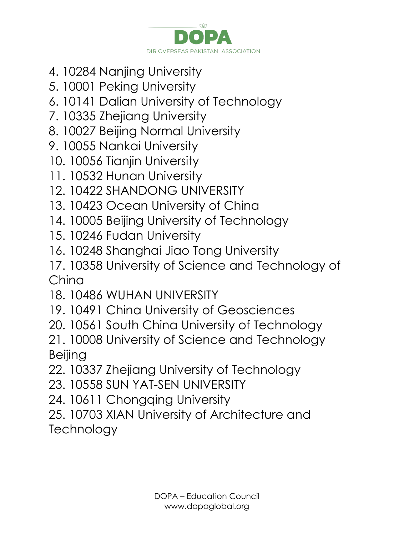

- 4. 10284 Nanjing University
- 5. 10001 Peking University
- 6. 10141 Dalian University of Technology
- 7. 10335 Zhejiang University
- 8. 10027 Beijing Normal University
- 9. 10055 Nankai University
- 10. 10056 Tianjin University
- 11. 10532 Hunan University
- 12. 10422 SHANDONG UNIVERSITY
- 13. 10423 Ocean University of China
- 14. 10005 Beijing University of Technology
- 15. 10246 Fudan University
- 16. 10248 Shanghai Jiao Tong University
- 17. 10358 University of Science and Technology of China
- 18. 10486 WUHAN UNIVERSITY
- 19. 10491 China University of Geosciences
- 20. 10561 South China University of Technology
- 21. 10008 University of Science and Technology Beijing
- 22. 10337 Zhejiang University of Technology
- 23. 10558 SUN YAT-SEN UNIVERSITY
- 24. 10611 Chongqing University
- 25. 10703 XIAN University of Architecture and **Technology**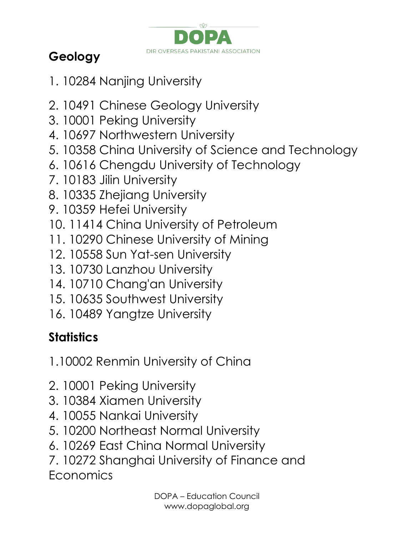

# **Geology**

- 1. 10284 Nanjing University
- 2. 10491 Chinese Geology University
- 3. 10001 Peking University
- 4. 10697 Northwestern University
- 5. 10358 China University of Science and Technology
- 6. 10616 Chengdu University of Technology
- 7. 10183 Jilin University
- 8. 10335 Zhejiang University
- 9. 10359 Hefei University
- 10. 11414 China University of Petroleum
- 11. 10290 Chinese University of Mining
- 12. 10558 Sun Yat-sen University
- 13. 10730 Lanzhou University
- 14. 10710 Chang'an University
- 15. 10635 Southwest University
- 16. 10489 Yangtze University

# **Statistics**

- 1.10002 Renmin University of China
- 2. 10001 Peking University
- 3. 10384 Xiamen University
- 4. 10055 Nankai University
- 5. 10200 Northeast Normal University
- 6. 10269 East China Normal University
- 7. 10272 Shanghai University of Finance and **Economics**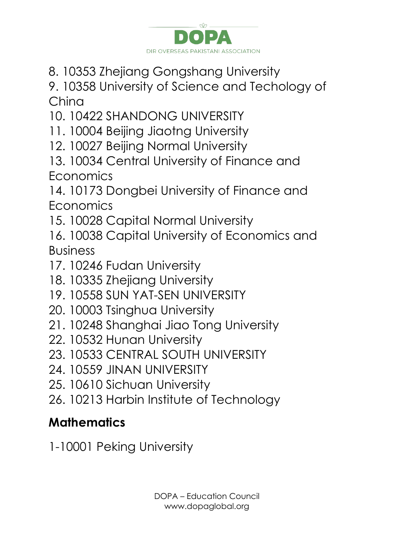

8. 10353 Zhejiang Gongshang University

9. 10358 University of Science and Techology of China

10. 10422 SHANDONG UNIVERSITY

- 11. 10004 Beijing Jiaotng University
- 12. 10027 Beijing Normal University
- 13. 10034 Central University of Finance and **Economics**

14. 10173 Dongbei University of Finance and **Economics** 

- 15. 10028 Capital Normal University
- 16. 10038 Capital University of Economics and Business
- 17. 10246 Fudan University
- 18. 10335 Zhejiang University
- 19. 10558 SUN YAT-SEN UNIVERSITY
- 20. 10003 Tsinghua University
- 21. 10248 Shanghai Jiao Tong University
- 22. 10532 Hunan University
- 23. 10533 CENTRAL SOUTH UNIVERSITY
- 24. 10559 JINAN UNIVERSITY
- 25. 10610 Sichuan University
- 26. 10213 Harbin Institute of Technology

## **Mathematics**

1-10001 Peking University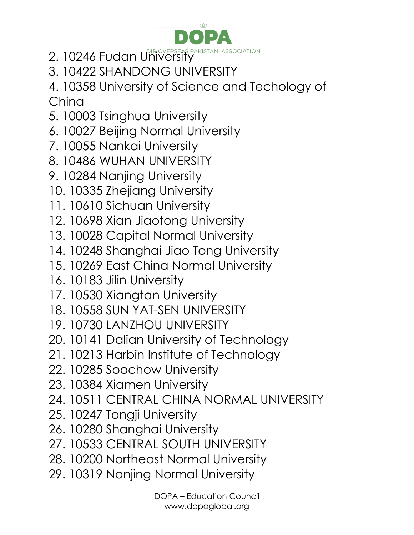

- 2. 10246 Fudan University
- 3. 10422 SHANDONG UNIVERSITY

4. 10358 University of Science and Techology of China

- 5. 10003 Tsinghua University
- 6. 10027 Beijing Normal University
- 7. 10055 Nankai University
- 8. 10486 WUHAN UNIVERSITY
- 9. 10284 Nanjing University
- 10. 10335 Zhejiang University
- 11. 10610 Sichuan University
- 12. 10698 Xian Jiaotong University
- 13. 10028 Capital Normal University
- 14. 10248 Shanghai Jiao Tong University
- 15. 10269 East China Normal University
- 16. 10183 Jilin University
- 17. 10530 Xiangtan University
- 18. 10558 SUN YAT-SEN UNIVERSITY
- 19. 10730 LANZHOU UNIVERSITY
- 20. 10141 Dalian University of Technology
- 21. 10213 Harbin Institute of Technology
- 22. 10285 Soochow University
- 23. 10384 Xiamen University
- 24. 10511 CENTRAL CHINA NORMAL UNIVERSITY
- 25. 10247 Tongji University
- 26. 10280 Shanghai University
- 27. 10533 CENTRAL SOUTH UNIVERSITY
- 28. 10200 Northeast Normal University
- 29. 10319 Nanjing Normal University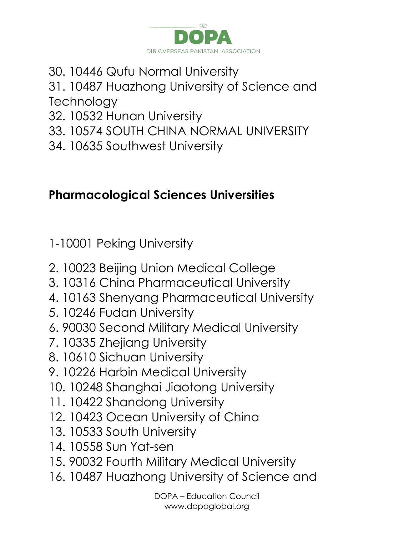

30. 10446 Qufu Normal University

#### 31. 10487 Huazhong University of Science and **Technology**

- 32. 10532 Hunan University
- 33. 10574 SOUTH CHINA NORMAL UNIVERSITY
- 34. 10635 Southwest University

### **Pharmacological Sciences Universities**

1-10001 Peking University

- 2. 10023 Beijing Union Medical College
- 3. 10316 China Pharmaceutical University
- 4. 10163 Shenyang Pharmaceutical University
- 5. 10246 Fudan University
- 6. 90030 Second Military Medical University
- 7. 10335 Zhejiang University
- 8. 10610 Sichuan University
- 9. 10226 Harbin Medical University
- 10. 10248 Shanghai Jiaotong University
- 11. 10422 Shandong University
- 12. 10423 Ocean University of China
- 13. 10533 South University
- 14. 10558 Sun Yat-sen
- 15. 90032 Fourth Military Medical University
- 16. 10487 Huazhong University of Science and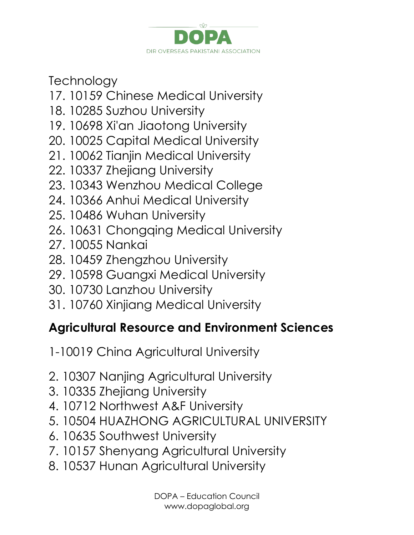

**Technology** 

- 17. 10159 Chinese Medical University
- 18. 10285 Suzhou University
- 19. 10698 Xi'an Jiaotong University
- 20. 10025 Capital Medical University
- 21. 10062 Tianjin Medical University
- 22. 10337 Zhejiang University
- 23. 10343 Wenzhou Medical College
- 24. 10366 Anhui Medical University
- 25. 10486 Wuhan University
- 26. 10631 Chongqing Medical University
- 27. 10055 Nankai
- 28. 10459 Zhengzhou University
- 29. 10598 Guangxi Medical University
- 30. 10730 Lanzhou University
- 31. 10760 Xinjiang Medical University

### **Agricultural Resource and Environment Sciences**

- 1-10019 China Agricultural University
- 2. 10307 Nanjing Agricultural University
- 3. 10335 Zhejiang University
- 4. 10712 Northwest A&F University
- 5. 10504 HUAZHONG AGRICULTURAL UNIVERSITY
- 6. 10635 Southwest University
- 7. 10157 Shenyang Agricultural University
- 8. 10537 Hunan Agricultural University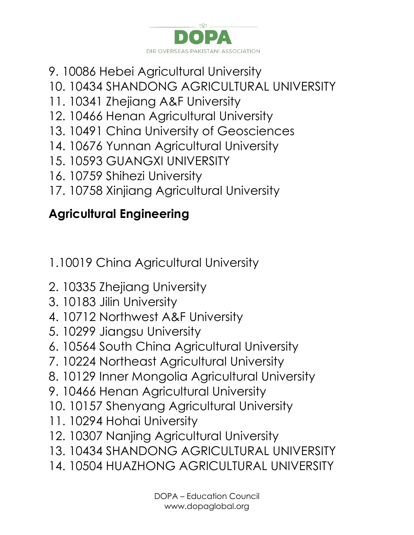

- 9. 10086 Hebei Agricultural University
- 10. 10434 SHANDONG AGRICULTURAL UNIVERSITY
- 11. 10341 Zhejiang A&F University
- 12. 10466 Henan Agricultural University
- 13. 10491 China University of Geosciences
- 14. 10676 Yunnan Agricultural University
- 15. 10593 GUANGXI UNIVERSITY
- 16. 10759 Shihezi University
- 17. 10758 Xinjiang Agricultural University

## **Agricultural Engineering**

- 1.10019 China Agricultural University
- 2. 10335 Zhejiang University
- 3. 10183 Jilin University
- 4. 10712 Northwest A&F University
- 5. 10299 Jiangsu University
- 6. 10564 South China Agricultural University
- 7. 10224 Northeast Agricultural University
- 8. 10129 Inner Mongolia Agricultural University
- 9. 10466 Henan Agricultural University
- 10. 10157 Shenyang Agricultural University
- 11. 10294 Hohai University
- 12. 10307 Nanjing Agricultural University
- 13. 10434 SHANDONG AGRICULTURAL UNIVERSITY
- 14. 10504 HUAZHONG AGRICULTURAL UNIVERSITY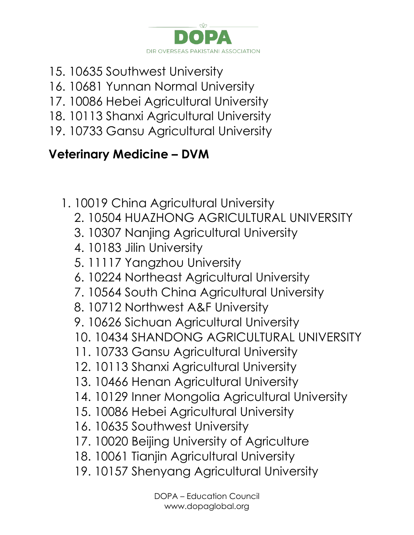

- 15. 10635 Southwest University
- 16. 10681 Yunnan Normal University
- 17. 10086 Hebei Agricultural University
- 18. 10113 Shanxi Agricultural University
- 19. 10733 Gansu Agricultural University

### **Veterinary Medicine – DVM**

1. 10019 China Agricultural University 2. 10504 HUAZHONG AGRICULTURAL UNIVERSITY 3. 10307 Nanjing Agricultural University 4. 10183 Jilin University 5. 11117 Yangzhou University 6. 10224 Northeast Agricultural University 7. 10564 South China Agricultural University 8. 10712 Northwest A&F University 9. 10626 Sichuan Agricultural University 10. 10434 SHANDONG AGRICULTURAL UNIVERSITY 11. 10733 Gansu Agricultural University 12. 10113 Shanxi Agricultural University 13. 10466 Henan Agricultural University 14. 10129 Inner Mongolia Agricultural University 15. 10086 Hebei Agricultural University 16. 10635 Southwest University 17. 10020 Beijing University of Agriculture 18. 10061 Tianjin Agricultural University 19. 10157 Shenyang Agricultural University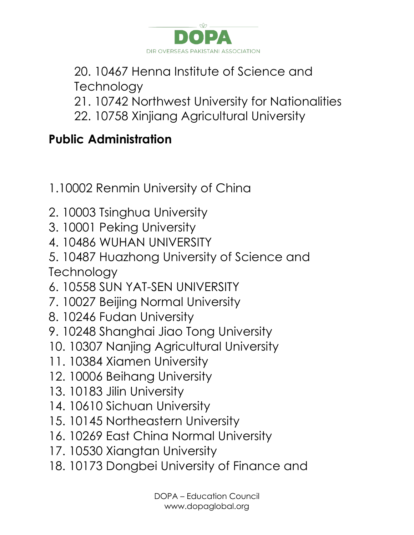

20. 10467 Henna Institute of Science and **Technology** 

- 21. 10742 Northwest University for Nationalities
- 22. 10758 Xinjiang Agricultural University

# **Public Administration**

- 1.10002 Renmin University of China
- 2. 10003 Tsinghua University
- 3. 10001 Peking University
- 4. 10486 WUHAN UNIVERSITY
- 5. 10487 Huazhong University of Science and **Technology**
- 6. 10558 SUN YAT-SEN UNIVERSITY
- 7. 10027 Beijing Normal University
- 8. 10246 Fudan University
- 9. 10248 Shanghai Jiao Tong University
- 10. 10307 Nanjing Agricultural University
- 11. 10384 Xiamen University
- 12. 10006 Beihang University
- 13. 10183 Jilin University
- 14. 10610 Sichuan University
- 15. 10145 Northeastern University
- 16. 10269 East China Normal University
- 17. 10530 Xiangtan University
- 18. 10173 Dongbei University of Finance and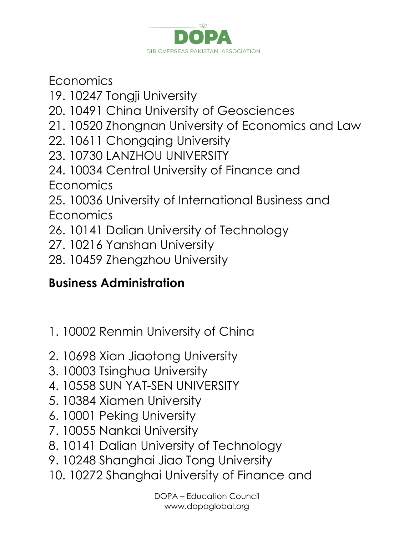

**Economics** 

- 19. 10247 Tongji University
- 20. 10491 China University of Geosciences
- 21. 10520 Zhongnan University of Economics and Law
- 22. 10611 Chongqing University
- 23. 10730 LANZHOU UNIVERSITY
- 24. 10034 Central University of Finance and **Economics**
- 25. 10036 University of International Business and **Economics**
- 26. 10141 Dalian University of Technology
- 27. 10216 Yanshan University
- 28. 10459 Zhengzhou University

## **Business Administration**

- 1. 10002 Renmin University of China
- 2. 10698 Xian Jiaotong University
- 3. 10003 Tsinghua University
- 4. 10558 SUN YAT-SEN UNIVERSITY
- 5. 10384 Xiamen University
- 6. 10001 Peking University
- 7. 10055 Nankai University
- 8. 10141 Dalian University of Technology
- 9. 10248 Shanghai Jiao Tong University
- 10. 10272 Shanghai University of Finance and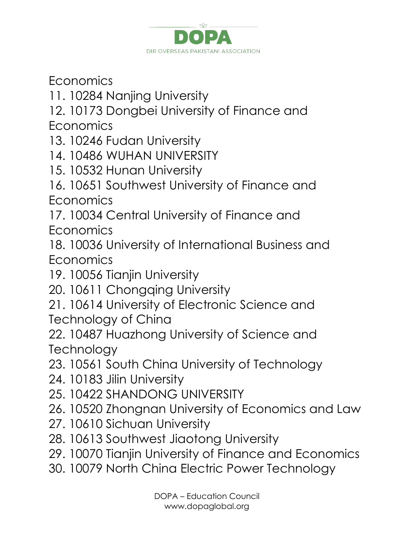

**Economics** 

- 11. 10284 Nanjing University
- 12. 10173 Dongbei University of Finance and **Economics**
- 13. 10246 Fudan University
- 14. 10486 WUHAN UNIVERSITY
- 15. 10532 Hunan University
- 16. 10651 Southwest University of Finance and Economics

17. 10034 Central University of Finance and Economics

- 18. 10036 University of International Business and Economics
- 19. 10056 Tianjin University
- 20. 10611 Chongqing University
- 21. 10614 University of Electronic Science and Technology of China
- 22. 10487 Huazhong University of Science and **Technology**
- 23. 10561 South China University of Technology
- 24. 10183 Jilin University
- 25. 10422 SHANDONG UNIVERSITY
- 26. 10520 Zhongnan University of Economics and Law
- 27. 10610 Sichuan University
- 28. 10613 Southwest Jiaotong University
- 29. 10070 Tianjin University of Finance and Economics
- 30. 10079 North China Electric Power Technology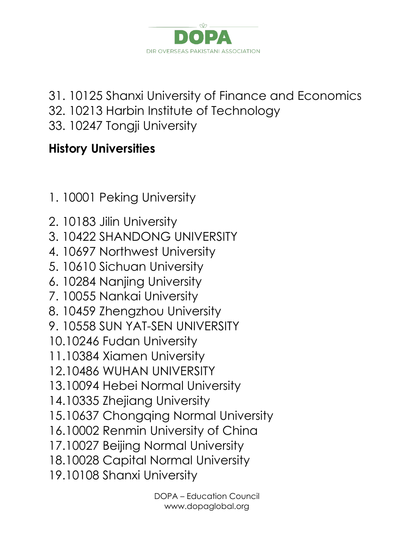

- 31. 10125 Shanxi University of Finance and Economics
- 32. 10213 Harbin Institute of Technology
- 33. 10247 Tongji University

### **History Universities**

- 1. 10001 Peking University
- 2. 10183 Jilin University
- 3. 10422 SHANDONG UNIVERSITY
- 4. 10697 Northwest University
- 5. 10610 Sichuan University
- 6. 10284 Nanjing University
- 7. 10055 Nankai University
- 8. 10459 Zhengzhou University
- 9. 10558 SUN YAT-SEN UNIVERSITY
- 10.10246 Fudan University
- 11.10384 Xiamen University
- 12.10486 WUHAN UNIVERSITY
- 13.10094 Hebei Normal University
- 14.10335 Zhejiang University
- 15.10637 Chongqing Normal University
- 16.10002 Renmin University of China
- 17.10027 Beijing Normal University
- 18.10028 Capital Normal University
- 19.10108 Shanxi University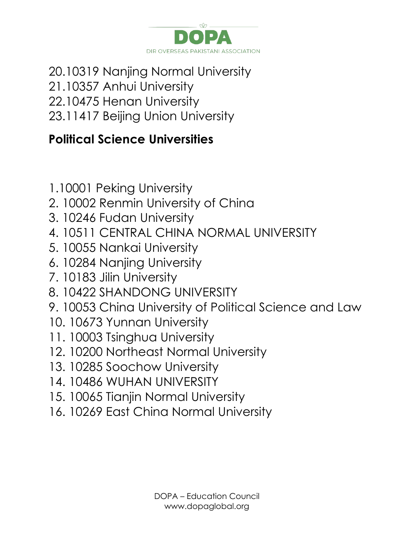![](_page_23_Picture_0.jpeg)

20.10319 Nanjing Normal University 21.10357 Anhui University 22.10475 Henan University 23.11417 Beijing Union University

#### **Political Science Universities**

- 1.10001 Peking University
- 2. 10002 Renmin University of China
- 3. 10246 Fudan University
- 4. 10511 CENTRAL CHINA NORMAL UNIVERSITY
- 5. 10055 Nankai University
- 6. 10284 Nanjing University
- 7. 10183 Jilin University
- 8. 10422 SHANDONG UNIVERSITY
- 9. 10053 China University of Political Science and Law
- 10. 10673 Yunnan University
- 11. 10003 Tsinghua University
- 12. 10200 Northeast Normal University
- 13. 10285 Soochow University
- 14. 10486 WUHAN UNIVERSITY
- 15. 10065 Tianjin Normal University
- 16. 10269 East China Normal University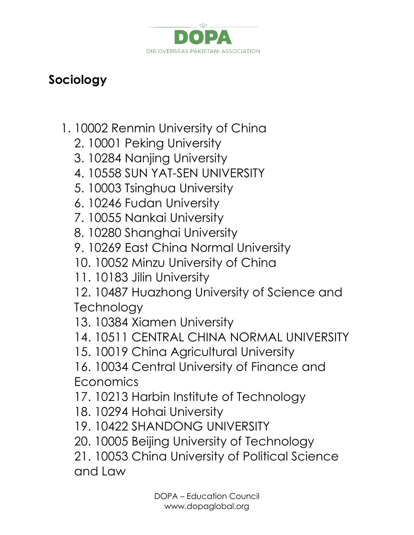![](_page_24_Picture_0.jpeg)

### **Sociology**

- 1. 10002 Renmin University of China
	- 2. 10001 Peking University
	- 3. 10284 Nanjing University
	- 4. 10558 SUN YAT-SEN UNIVERSITY
	- 5. 10003 Tsinghua University
	- 6. 10246 Fudan University
	- 7. 10055 Nankai University
	- 8. 10280 Shanghai University
	- 9. 10269 East China Normal University
	- 10. 10052 Minzu University of China
	- 11. 10183 Jilin University
	- 12. 10487 Huazhong University of Science and **Technology**
	- 13. 10384 Xiamen University
	- 14. 10511 CENTRAL CHINA NORMAL UNIVERSITY
	- 15. 10019 China Agricultural University
	- 16. 10034 Central University of Finance and **Economics**
	- 17. 10213 Harbin Institute of Technology
	- 18. 10294 Hohai University
	- 19. 10422 SHANDONG UNIVERSITY
	- 20. 10005 Beijing University of Technology
	- 21. 10053 China University of Political Science and Law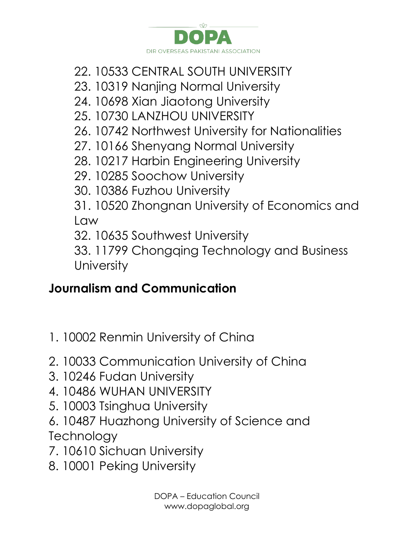![](_page_25_Picture_0.jpeg)

### 22. 10533 CENTRAL SOUTH UNIVERSITY

- 23. 10319 Nanjing Normal University
- 24. 10698 Xian Jiaotong University
- 25. 10730 LANZHOU UNIVERSITY
- 26. 10742 Northwest University for Nationalities
- 27. 10166 Shenyang Normal University
- 28. 10217 Harbin Engineering University
- 29. 10285 Soochow University
- 30. 10386 Fuzhou University
- 31. 10520 Zhongnan University of Economics and Law
- 32. 10635 Southwest University
- 33. 11799 Chongqing Technology and Business **University**

## **Journalism and Communication**

- 1. 10002 Renmin University of China
- 2. 10033 Communication University of China
- 3. 10246 Fudan University
- 4. 10486 WUHAN UNIVERSITY
- 5. 10003 Tsinghua University
- 6. 10487 Huazhong University of Science and **Technology**
- 7. 10610 Sichuan University
- 8. 10001 Peking University

DOPA – Education Council www.dopaglobal.org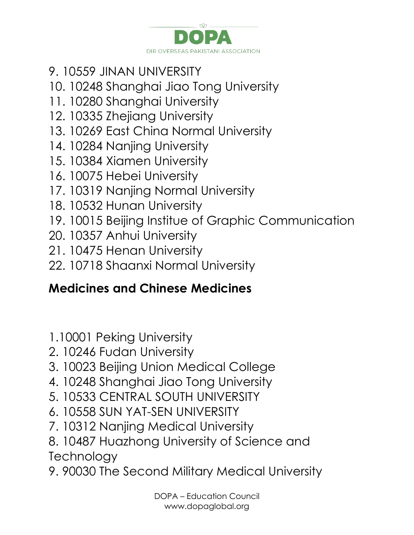![](_page_26_Picture_0.jpeg)

- 9. 10559 JINAN UNIVERSITY
- 10. 10248 Shanghai Jiao Tong University
- 11. 10280 Shanghai University
- 12. 10335 Zhejiang University
- 13. 10269 East China Normal University
- 14. 10284 Nanjing University
- 15. 10384 Xiamen University
- 16. 10075 Hebei University
- 17. 10319 Nanjing Normal University
- 18. 10532 Hunan University
- 19. 10015 Beijing Institue of Graphic Communication
- 20. 10357 Anhui University
- 21. 10475 Henan University
- 22. 10718 Shaanxi Normal University

## **Medicines and Chinese Medicines**

- 1.10001 Peking University
- 2. 10246 Fudan University
- 3. 10023 Beijing Union Medical College
- 4. 10248 Shanghai Jiao Tong University
- 5. 10533 CENTRAL SOUTH UNIVERSITY
- 6. 10558 SUN YAT-SEN UNIVERSITY
- 7. 10312 Nanjing Medical University
- 8. 10487 Huazhong University of Science and **Technology**
- 9. 90030 The Second Military Medical University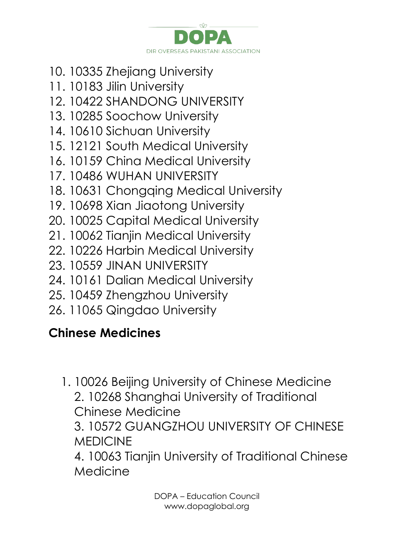![](_page_27_Picture_0.jpeg)

- 10. 10335 Zhejiang University
- 11. 10183 Jilin University
- 12. 10422 SHANDONG UNIVERSITY
- 13. 10285 Soochow University
- 14. 10610 Sichuan University
- 15. 12121 South Medical University
- 16. 10159 China Medical University
- 17. 10486 WUHAN UNIVERSITY
- 18. 10631 Chongqing Medical University
- 19. 10698 Xian Jiaotong University
- 20. 10025 Capital Medical University
- 21. 10062 Tianjin Medical University
- 22. 10226 Harbin Medical University
- 23. 10559 JINAN UNIVERSITY
- 24. 10161 Dalian Medical University
- 25. 10459 Zhengzhou University
- 26. 11065 Qingdao University

### **Chinese Medicines**

1. 10026 Beijing University of Chinese Medicine 2. 10268 Shanghai University of Traditional Chinese Medicine 3. 10572 GUANGZHOU UNIVERSITY OF CHINESE MEDICINE

4. 10063 Tianjin University of Traditional Chinese Medicine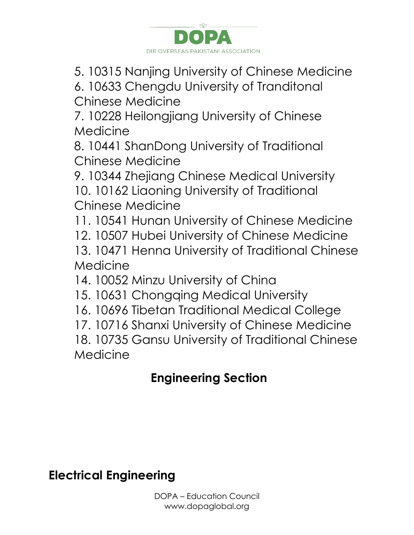![](_page_28_Picture_0.jpeg)

5. 10315 Nanjing University of Chinese Medicine

6. 10633 Chengdu University of Tranditonal Chinese Medicine

7. 10228 Heilongjiang University of Chinese Medicine

8. 10441 ShanDong University of Traditional Chinese Medicine

9. 10344 Zhejiang Chinese Medical University 10. 10162 Liaoning University of Traditional Chinese Medicine

11. 10541 Hunan University of Chinese Medicine

- 12. 10507 Hubei University of Chinese Medicine
- 13. 10471 Henna University of Traditional Chinese Medicine

14. 10052 Minzu University of China

- 15. 10631 Chongqing Medical University
- 16. 10696 Tibetan Traditional Medical College

17. 10716 Shanxi University of Chinese Medicine

18. 10735 Gansu University of Traditional Chinese Medicine

## **Engineering Section**

**Electrical Engineering**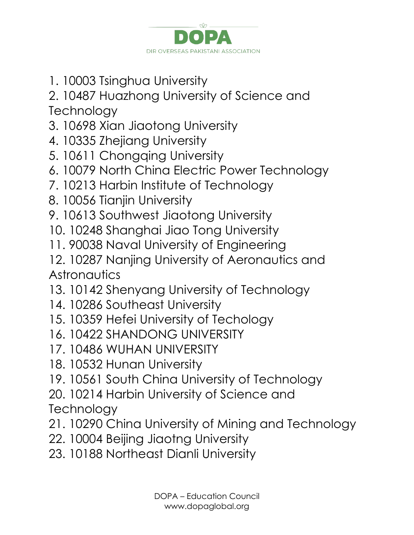![](_page_29_Picture_0.jpeg)

1. 10003 Tsinghua University

2. 10487 Huazhong University of Science and **Technology** 

- 3. 10698 Xian Jiaotong University
- 4. 10335 Zhejiang University
- 5. 10611 Chongqing University
- 6. 10079 North China Electric Power Technology
- 7. 10213 Harbin Institute of Technology
- 8. 10056 Tianjin University
- 9. 10613 Southwest Jiaotong University
- 10. 10248 Shanghai Jiao Tong University
- 11. 90038 Naval University of Engineering
- 12. 10287 Nanjing University of Aeronautics and **Astronautics**
- 13. 10142 Shenyang University of Technology
- 14. 10286 Southeast University
- 15. 10359 Hefei University of Techology
- 16. 10422 SHANDONG UNIVERSITY
- 17. 10486 WUHAN UNIVERSITY
- 18. 10532 Hunan University
- 19. 10561 South China University of Technology
- 20. 10214 Harbin University of Science and

**Technology** 

- 21. 10290 China University of Mining and Technology
- 22. 10004 Beijing Jiaotng University
- 23. 10188 Northeast Dianli University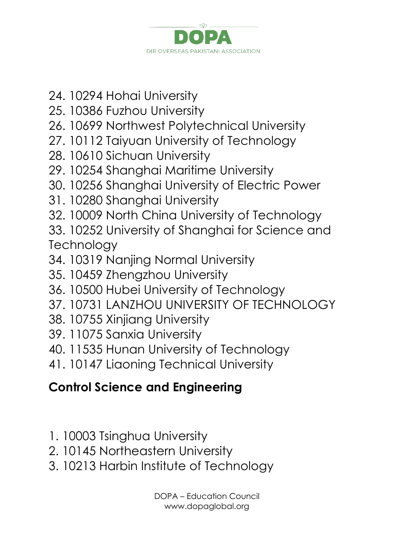![](_page_30_Picture_0.jpeg)

- 24. 10294 Hohai University
- 25. 10386 Fuzhou University
- 26. 10699 Northwest Polytechnical University
- 27. 10112 Taiyuan University of Technology
- 28. 10610 Sichuan University
- 29. 10254 Shanghai Maritime University
- 30. 10256 Shanghai University of Electric Power
- 31. 10280 Shanghai University
- 32. 10009 North China University of Technology
- 33. 10252 University of Shanghai for Science and **Technology**
- 34. 10319 Nanjing Normal University
- 35. 10459 Zhengzhou University
- 36. 10500 Hubei University of Technology
- 37. 10731 LANZHOU UNIVERSITY OF TECHNOLOGY
- 38. 10755 Xinjiang University
- 39. 11075 Sanxia University
- 40. 11535 Hunan University of Technology
- 41. 10147 Liaoning Technical University

## **Control Science and Engineering**

- 1. 10003 Tsinghua University
- 2. 10145 Northeastern University
- 3. 10213 Harbin Institute of Technology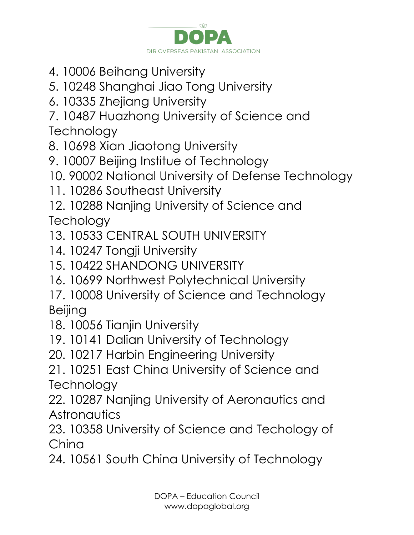![](_page_31_Picture_0.jpeg)

- 4. 10006 Beihang University
- 5. 10248 Shanghai Jiao Tong University
- 6. 10335 Zhejiang University
- 7. 10487 Huazhong University of Science and **Technology**
- 8. 10698 Xian Jiaotong University
- 9. 10007 Beijing Institue of Technology
- 10. 90002 National University of Defense Technology
- 11. 10286 Southeast University
- 12. 10288 Nanjing University of Science and **Techology**
- 13. 10533 CENTRAL SOUTH UNIVERSITY
- 14. 10247 Tongji University
- 15. 10422 SHANDONG UNIVERSITY
- 16. 10699 Northwest Polytechnical University
- 17. 10008 University of Science and Technology Beijing
- 18. 10056 Tianjin University
- 19. 10141 Dalian University of Technology
- 20. 10217 Harbin Engineering University
- 21. 10251 East China University of Science and **Technology**
- 22. 10287 Nanjing University of Aeronautics and **Astronautics**
- 23. 10358 University of Science and Techology of China
- 24. 10561 South China University of Technology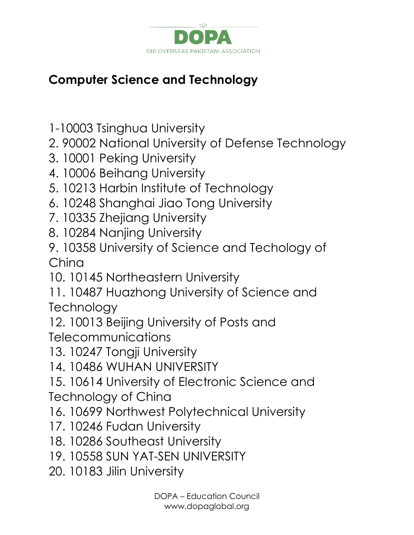![](_page_32_Picture_0.jpeg)

## **Computer Science and Technology**

- 1-10003 Tsinghua University
- 2. 90002 National University of Defense Technology
- 3. 10001 Peking University
- 4. 10006 Beihang University
- 5. 10213 Harbin Institute of Technology
- 6. 10248 Shanghai Jiao Tong University
- 7. 10335 Zhejiang University
- 8. 10284 Nanjing University
- 9. 10358 University of Science and Techology of China
- 10. 10145 Northeastern University
- 11. 10487 Huazhong University of Science and **Technology**
- 12. 10013 Beijing University of Posts and **Telecommunications**
- 13. 10247 Tongji University
- 14. 10486 WUHAN UNIVERSITY
- 15. 10614 University of Electronic Science and Technology of China
- 16. 10699 Northwest Polytechnical University
- 17. 10246 Fudan University
- 18. 10286 Southeast University
- 19. 10558 SUN YAT-SEN UNIVERSITY
- 20. 10183 Jilin University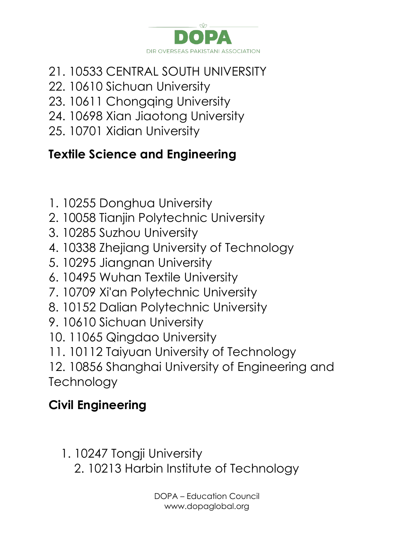![](_page_33_Picture_0.jpeg)

- 21. 10533 CENTRAL SOUTH UNIVERSITY
- 22. 10610 Sichuan University
- 23. 10611 Chongqing University
- 24. 10698 Xian Jiaotong University
- 25. 10701 Xidian University

# **Textile Science and Engineering**

- 1. 10255 Donghua University
- 2. 10058 Tianjin Polytechnic University
- 3. 10285 Suzhou University
- 4. 10338 Zhejiang University of Technology
- 5. 10295 Jiangnan University
- 6. 10495 Wuhan Textile University
- 7. 10709 Xi'an Polytechnic University
- 8. 10152 Dalian Polytechnic University
- 9. 10610 Sichuan University
- 10. 11065 Qingdao University
- 11. 10112 Taiyuan University of Technology
- 12. 10856 Shanghai University of Engineering and **Technology**

## **Civil Engineering**

- 1. 10247 Tongji University
	- 2. 10213 Harbin Institute of Technology

DOPA – Education Council www.dopaglobal.org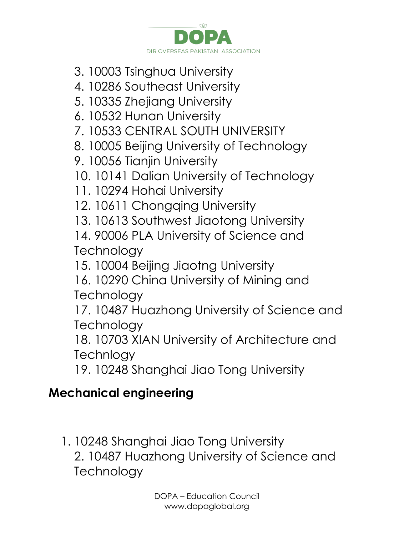![](_page_34_Picture_0.jpeg)

- 3. 10003 Tsinghua University
- 4. 10286 Southeast University
- 5. 10335 Zhejiang University
- 6. 10532 Hunan University
- 7. 10533 CENTRAL SOUTH UNIVERSITY
- 8. 10005 Beijing University of Technology
- 9. 10056 Tianjin University
- 10. 10141 Dalian University of Technology
- 11. 10294 Hohai University
- 12. 10611 Chongqing University
- 13. 10613 Southwest Jiaotong University
- 14. 90006 PLA University of Science and **Technology**
- 15. 10004 Beijing Jiaotng University
- 16. 10290 China University of Mining and **Technology**
- 17. 10487 Huazhong University of Science and **Technology**
- 18. 10703 XIAN University of Architecture and **Technlogy**
- 19. 10248 Shanghai Jiao Tong University

## **Mechanical engineering**

1. 10248 Shanghai Jiao Tong University 2. 10487 Huazhong University of Science and **Technology**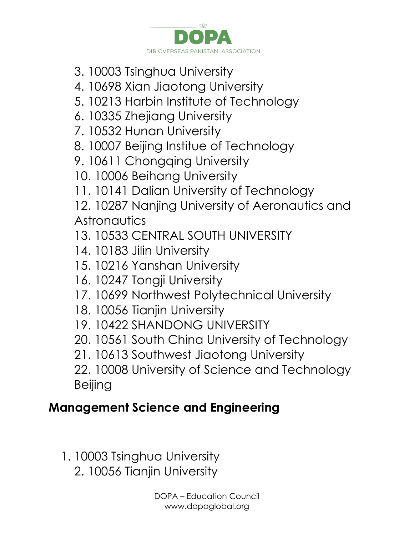![](_page_35_Picture_0.jpeg)

- 3. 10003 Tsinghua University
- 4. 10698 Xian Jiaotong University
- 5. 10213 Harbin Institute of Technology
- 6. 10335 Zhejiang University
- 7. 10532 Hunan University
- 8. 10007 Beijing Institue of Technology
- 9. 10611 Chongqing University
- 10. 10006 Beihang University
- 11. 10141 Dalian University of Technology

12. 10287 Nanjing University of Aeronautics and **Astronautics** 

- 13. 10533 CENTRAL SOUTH UNIVERSITY
- 14. 10183 Jilin University
- 15. 10216 Yanshan University
- 16. 10247 Tongji University
- 17. 10699 Northwest Polytechnical University
- 18. 10056 Tianjin University
- 19. 10422 SHANDONG UNIVERSITY
- 20. 10561 South China University of Technology
- 21. 10613 Southwest Jiaotong University

22. 10008 University of Science and Technology Beijing

#### **Management Science and Engineering**

- 1. 10003 Tsinghua University
	- 2. 10056 Tianjin University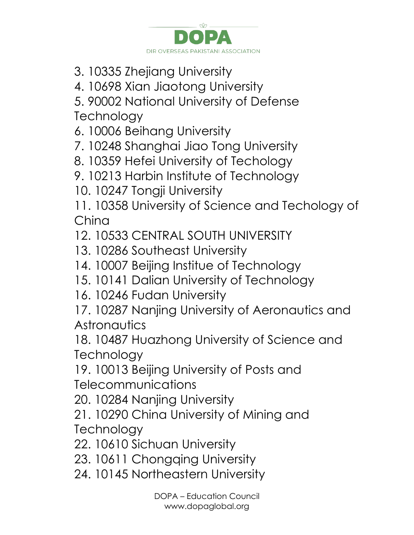![](_page_36_Picture_0.jpeg)

- 3. 10335 Zhejiang University
- 4. 10698 Xian Jiaotong University

5. 90002 National University of Defense **Technology** 

6. 10006 Beihang University

7. 10248 Shanghai Jiao Tong University

8. 10359 Hefei University of Techology

9. 10213 Harbin Institute of Technology

10. 10247 Tongji University

11. 10358 University of Science and Techology of China

12. 10533 CENTRAL SOUTH UNIVERSITY

13. 10286 Southeast University

14. 10007 Beijing Institue of Technology

15. 10141 Dalian University of Technology

16. 10246 Fudan University

17. 10287 Nanjing University of Aeronautics and **Astronautics** 

18. 10487 Huazhong University of Science and **Technology** 

19. 10013 Beijing University of Posts and Telecommunications

20. 10284 Nanjing University

21. 10290 China University of Mining and **Technology** 

22. 10610 Sichuan University

23. 10611 Chongqing University

24. 10145 Northeastern University

DOPA – Education Council www.dopaglobal.org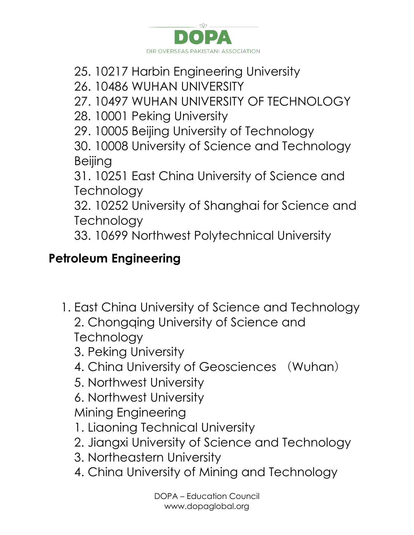![](_page_37_Picture_0.jpeg)

- 25. 10217 Harbin Engineering University
- 26. 10486 WUHAN UNIVERSITY

27. 10497 WUHAN UNIVERSITY OF TECHNOLOGY

- 28. 10001 Peking University
- 29. 10005 Beijing University of Technology

30. 10008 University of Science and Technology Beijing

31. 10251 East China University of Science and **Technology** 

32. 10252 University of Shanghai for Science and **Technology** 

33. 10699 Northwest Polytechnical University

#### **Petroleum Engineering**

- 1. East China University of Science and Technology 2. Chongqing University of Science and **Technology** 3. Peking University
	- 4. China University of Geosciences (Wuhan)
	- 5. Northwest University

6. Northwest University

Mining Engineering

- 1. Liaoning Technical University
- 2. Jiangxi University of Science and Technology
- 3. Northeastern University
- 4. China University of Mining and Technology